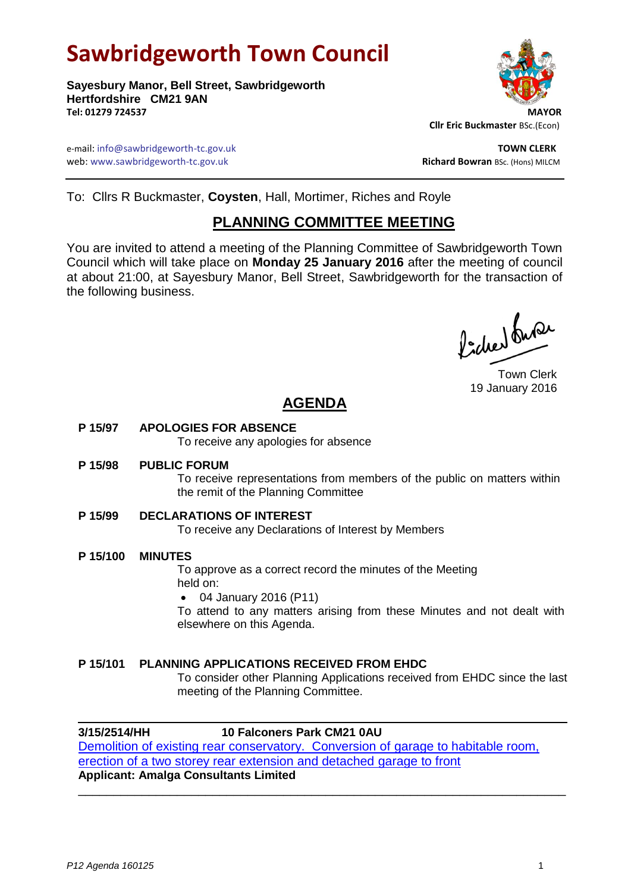# **Sawbridgeworth Town Council**

**Sayesbury Manor, Bell Street, Sawbridgeworth Hertfordshire CM21 9AN Tel: 01279 724537 MAYOR**



 **Cllr Eric Buckmaster** BSc.(Econ)

e-mail: info@sawbridgeworth-tc.gov.uk **TOWN CLERK** web: www.sawbridgeworth-tc.gov.uk and the state of the state of the state of the state of the state of the state of the state of the state of the state of the state of the state of the state of the state of the state of th

To: Cllrs R Buckmaster, **Coysten**, Hall, Mortimer, Riches and Royle

## **PLANNING COMMITTEE MEETING**

You are invited to attend a meeting of the Planning Committee of Sawbridgeworth Town Council which will take place on **Monday 25 January 2016** after the meeting of council at about 21:00, at Sayesbury Manor, Bell Street, Sawbridgeworth for the transaction of the following business.

lacher buse

Town Clerk 19 January 2016

## **AGENDA**

**P 15/97 APOLOGIES FOR ABSENCE**

To receive any apologies for absence

**P 15/98 PUBLIC FORUM**

To receive representations from members of the public on matters within the remit of the Planning Committee

**P 15/99 DECLARATIONS OF INTEREST**

To receive any Declarations of Interest by Members

**P 15/100 MINUTES**

To approve as a correct record the minutes of the Meeting held on:

04 January 2016 (P11)

To attend to any matters arising from these Minutes and not dealt with elsewhere on this Agenda.

## **P 15/101 PLANNING APPLICATIONS RECEIVED FROM EHDC**

To consider other Planning Applications received from EHDC since the last meeting of the Planning Committee.

## **3/15/2514/HH 10 Falconers Park CM21 0AU**

[Demolition of existing rear conservatory. Conversion of garage to habitable room,](https://publicaccess.eastherts.gov.uk/online-applications/applicationDetails.do?activeTab=summary&keyVal=NZI425GLHYW00)  [erection of a two storey rear extension and detached](https://publicaccess.eastherts.gov.uk/online-applications/applicationDetails.do?activeTab=summary&keyVal=NZI425GLHYW00) garage to front **Applicant: Amalga Consultants Limited** \_\_\_\_\_\_\_\_\_\_\_\_\_\_\_\_\_\_\_\_\_\_\_\_\_\_\_\_\_\_\_\_\_\_\_\_\_\_\_\_\_\_\_\_\_\_\_\_\_\_\_\_\_\_\_\_\_\_\_\_\_\_\_\_\_\_\_\_\_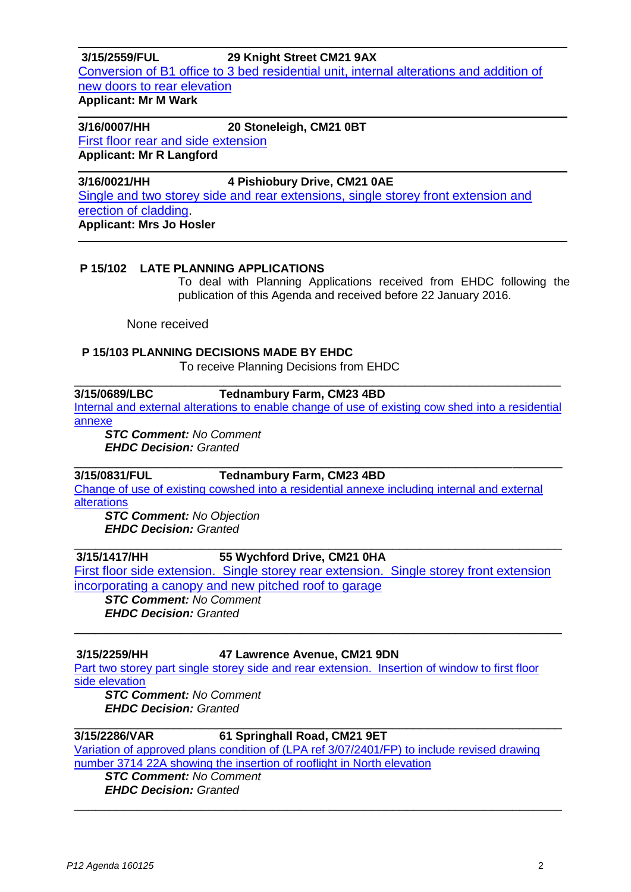**3/15/2559/FUL 29 Knight Street CM21 9AX** [Conversion of B1 office to 3 bed residential unit, internal alterations and addition of](https://publicaccess.eastherts.gov.uk/online-applications/applicationDetails.do?activeTab=summary&keyVal=NZTGCBGLI1900)  [new doors to rear elevation](https://publicaccess.eastherts.gov.uk/online-applications/applicationDetails.do?activeTab=summary&keyVal=NZTGCBGLI1900) **Applicant: Mr M Wark**

**3/16/0007/HH 20 Stoneleigh, CM21 0BT**  First [floor rear and side extension](https://publicaccess.eastherts.gov.uk/online-applications/applicationDetails.do?activeTab=summary&keyVal=O0H2ZXGL00X00) **Applicant: Mr R Langford**

**3/16/0021/HH 4 Pishiobury Drive, CM21 0AE**  [Single and two storey side and rear extensions, single storey front extension and](https://publicaccess.eastherts.gov.uk/online-applications/applicationDetails.do?activeTab=summary&keyVal=O0JGJXGLI4B00)  [erection of cladding.](https://publicaccess.eastherts.gov.uk/online-applications/applicationDetails.do?activeTab=summary&keyVal=O0JGJXGLI4B00) **Applicant: Mrs Jo Hosler**

## **P 15/102 LATE PLANNING APPLICATIONS**

To deal with Planning Applications received from EHDC following the publication of this Agenda and received before 22 January 2016.

None received

### **P 15/103 PLANNING DECISIONS MADE BY EHDC**

To receive Planning Decisions from EHDC

# \_\_\_\_\_\_\_\_\_\_\_\_\_\_\_\_\_\_\_\_\_\_\_\_\_\_\_\_\_\_\_\_\_\_\_\_\_\_\_\_\_\_\_\_\_\_\_\_\_\_\_\_\_\_\_\_\_\_\_\_\_\_\_\_\_\_\_\_\_\_\_\_\_\_\_

**3/15/0689/LBC Tednambury Farm, CM23 4BD**  [Internal and external alterations to enable change of use of existing cow shed into a residential](https://publicaccess.eastherts.gov.uk/online-applications/applicationDetails.do?activeTab=summary&keyVal=NM899VGLFUB00) 

[annexe](https://publicaccess.eastherts.gov.uk/online-applications/applicationDetails.do?activeTab=summary&keyVal=NM899VGLFUB00)

*STC Comment: No Comment EHDC Decision: Granted*

## **3/15/0831/FUL Tednambury Farm, CM23 4BD**

[Change of use of existing cowshed into a residential annexe including internal and external](https://publicaccess.eastherts.gov.uk/online-applications/applicationDetails.do?activeTab=summary&keyVal=NN74T6GLFZ300)  [alterations](https://publicaccess.eastherts.gov.uk/online-applications/applicationDetails.do?activeTab=summary&keyVal=NN74T6GLFZ300)

\_\_\_\_\_\_\_\_\_\_\_\_\_\_\_\_\_\_\_\_\_\_\_\_\_\_\_\_\_\_\_\_\_\_\_\_\_\_\_\_\_\_\_\_\_\_\_\_\_\_\_\_\_\_\_\_\_\_\_\_\_\_\_\_\_\_\_\_\_

*STC Comment: No Objection EHDC Decision: Granted*

**3/15/1417/HH 55 Wychford Drive, CM21 0HA**

[First floor side extension. Single storey rear extension. Single storey front extension](https://publicaccess.eastherts.gov.uk/online-applications/applicationDetails.do?activeTab=summary&keyVal=NR290EGL00X00)  [incorporating a canopy and new pitched roof to garage](https://publicaccess.eastherts.gov.uk/online-applications/applicationDetails.do?activeTab=summary&keyVal=NR290EGL00X00)

\_\_\_\_\_\_\_\_\_\_\_\_\_\_\_\_\_\_\_\_\_\_\_\_\_\_\_\_\_\_\_\_\_\_\_\_\_\_\_\_\_\_\_\_\_\_\_\_\_\_\_\_\_\_\_\_\_\_\_\_\_\_\_\_\_\_\_\_\_

\_\_\_\_\_\_\_\_\_\_\_\_\_\_\_\_\_\_\_\_\_\_\_\_\_\_\_\_\_\_\_\_\_\_\_\_\_\_\_\_\_\_\_\_\_\_\_\_\_\_\_\_\_\_\_\_\_\_\_\_\_\_\_\_\_\_\_\_\_

*STC Comment: No Comment EHDC Decision: Granted*

### **3/15/2259/HH 47 Lawrence Avenue, CM21 9DN**

[Part two storey part single storey side and rear extension. Insertion of window to first floor](https://publicaccess.eastherts.gov.uk/online-applications/applicationDetails.do?activeTab=summary&keyVal=NXLABSGLHL300) side [elevation](https://publicaccess.eastherts.gov.uk/online-applications/applicationDetails.do?activeTab=summary&keyVal=NXLABSGLHL300) *STC Comment: No Comment*

*EHDC Decision: Granted*

## **3/15/2286/VAR 61 Springhall Road, CM21 9ET**

[Variation of approved plans condition of \(LPA ref 3/07/2401/FP\) to include](https://publicaccess.eastherts.gov.uk/online-applications/applicationDetails.do?activeTab=summary&keyVal=NXSOW9GLHMN00) revised drawing [number 3714 22A showing the insertion of rooflight in North elevation](https://publicaccess.eastherts.gov.uk/online-applications/applicationDetails.do?activeTab=summary&keyVal=NXSOW9GLHMN00)

\_\_\_\_\_\_\_\_\_\_\_\_\_\_\_\_\_\_\_\_\_\_\_\_\_\_\_\_\_\_\_\_\_\_\_\_\_\_\_\_\_\_\_\_\_\_\_\_\_\_\_\_\_\_\_\_\_\_\_\_\_\_\_\_\_\_\_\_\_

\_\_\_\_\_\_\_\_\_\_\_\_\_\_\_\_\_\_\_\_\_\_\_\_\_\_\_\_\_\_\_\_\_\_\_\_\_\_\_\_\_\_\_\_\_\_\_\_\_\_\_\_\_\_\_\_\_\_\_\_\_\_\_\_\_\_\_\_\_

*STC Comment: No Comment EHDC Decision: Granted*